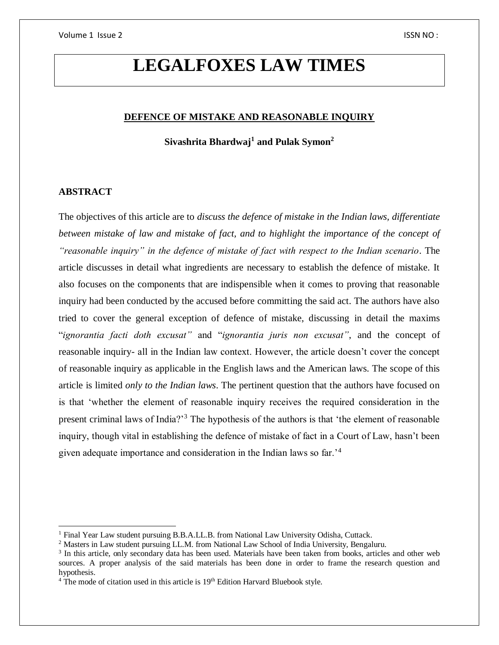# **LEGALFOXES LAW TIMES**

## **DEFENCE OF MISTAKE AND REASONABLE INQUIRY**

**Sivashrita Bhardwaj<sup>1</sup> and Pulak Symon<sup>2</sup>**

## **ABSTRACT**

 $\overline{a}$ 

The objectives of this article are to *discuss the defence of mistake in the Indian laws, differentiate*  between mistake of law and mistake of fact, and to highlight the importance of the concept of *"reasonable inquiry" in the defence of mistake of fact with respect to the Indian scenario*. The article discusses in detail what ingredients are necessary to establish the defence of mistake. It also focuses on the components that are indispensible when it comes to proving that reasonable inquiry had been conducted by the accused before committing the said act. The authors have also tried to cover the general exception of defence of mistake, discussing in detail the maxims "*ignorantia facti doth excusat"* and "*ignorantia juris non excusat"*, and the concept of reasonable inquiry- all in the Indian law context. However, the article doesn't cover the concept of reasonable inquiry as applicable in the English laws and the American laws. The scope of this article is limited *only to the Indian laws*. The pertinent question that the authors have focused on is that 'whether the element of reasonable inquiry receives the required consideration in the present criminal laws of India?'<sup>3</sup> The hypothesis of the authors is that 'the element of reasonable inquiry, though vital in establishing the defence of mistake of fact in a Court of Law, hasn't been given adequate importance and consideration in the Indian laws so far.'<sup>4</sup>

<sup>&</sup>lt;sup>1</sup> Final Year Law student pursuing B.B.A.LL.B. from National Law University Odisha, Cuttack.

<sup>2</sup> Masters in Law student pursuing LL.M. from National Law School of India University, Bengaluru.

<sup>&</sup>lt;sup>3</sup> In this article, only secondary data has been used. Materials have been taken from books, articles and other web sources. A proper analysis of the said materials has been done in order to frame the research question and hypothesis.

<sup>&</sup>lt;sup>4</sup> The mode of citation used in this article is 19<sup>th</sup> Edition Harvard Bluebook style.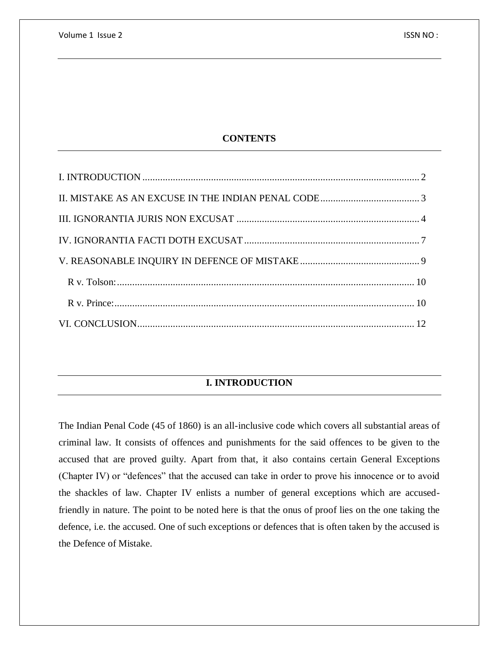# **CONTENTS**

# **I. INTRODUCTION**

<span id="page-1-0"></span>The Indian Penal Code (45 of 1860) is an all-inclusive code which covers all substantial areas of criminal law. It consists of offences and punishments for the said offences to be given to the accused that are proved guilty. Apart from that, it also contains certain General Exceptions (Chapter IV) or "defences" that the accused can take in order to prove his innocence or to avoid the shackles of law. Chapter IV enlists a number of general exceptions which are accusedfriendly in nature. The point to be noted here is that the onus of proof lies on the one taking the defence, i.e. the accused. One of such exceptions or defences that is often taken by the accused is the Defence of Mistake.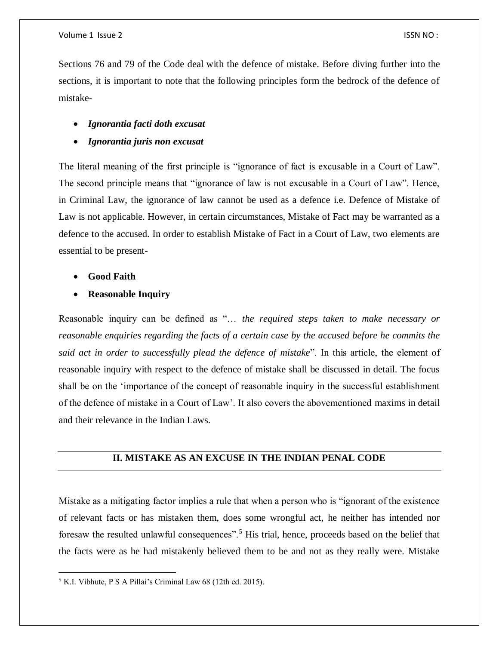Sections 76 and 79 of the Code deal with the defence of mistake. Before diving further into the sections, it is important to note that the following principles form the bedrock of the defence of mistake-

## *Ignorantia facti doth excusat*

*Ignorantia juris non excusat*

The literal meaning of the first principle is "ignorance of fact is excusable in a Court of Law". The second principle means that "ignorance of law is not excusable in a Court of Law". Hence, in Criminal Law, the ignorance of law cannot be used as a defence i.e. Defence of Mistake of Law is not applicable. However, in certain circumstances, Mistake of Fact may be warranted as a defence to the accused. In order to establish Mistake of Fact in a Court of Law, two elements are essential to be present-

**Good Faith**

 $\overline{a}$ 

**Reasonable Inquiry**

Reasonable inquiry can be defined as "… *the required steps taken to make necessary or reasonable enquiries regarding the facts of a certain case by the accused before he commits the said act in order to successfully plead the defence of mistake*". In this article, the element of reasonable inquiry with respect to the defence of mistake shall be discussed in detail. The focus shall be on the 'importance of the concept of reasonable inquiry in the successful establishment of the defence of mistake in a Court of Law'. It also covers the abovementioned maxims in detail and their relevance in the Indian Laws.

## <span id="page-2-0"></span>**II. MISTAKE AS AN EXCUSE IN THE INDIAN PENAL CODE**

Mistake as a mitigating factor implies a rule that when a person who is "ignorant of the existence of relevant facts or has mistaken them, does some wrongful act, he neither has intended nor foresaw the resulted unlawful consequences".<sup>5</sup> His trial, hence, proceeds based on the belief that the facts were as he had mistakenly believed them to be and not as they really were. Mistake

<sup>5</sup> K.I. Vibhute, P S A Pillai's Criminal Law 68 (12th ed. 2015).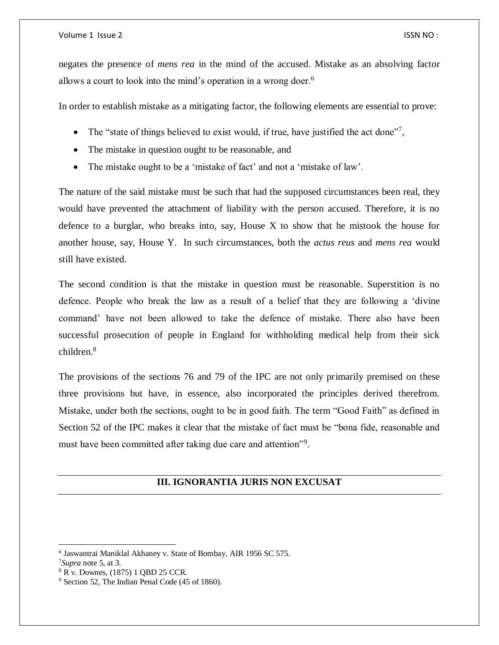#### Volume 1 Issue 2 ISSN NO :

negates the presence of *mens rea* in the mind of the accused. Mistake as an absolving factor allows a court to look into the mind's operation in a wrong doer.<sup>6</sup>

In order to establish mistake as a mitigating factor, the following elements are essential to prove:

- The "state of things believed to exist would, if true, have justified the act done"7,
- The mistake in question ought to be reasonable, and
- The mistake ought to be a 'mistake of fact' and not a 'mistake of law'.

The nature of the said mistake must be such that had the supposed circumstances been real, they would have prevented the attachment of liability with the person accused. Therefore, it is no defence to a burglar, who breaks into, say, House  $X$  to show that he mistook the house for another house, say, House Y. In such circumstances, both the *actus reus* and *mens rea* would still have existed.

The second condition is that the mistake in question must be reasonable. Superstition is no defence. People who break the law as a result of a belief that they are following a 'divine command' have not been allowed to take the defence of mistake. There also have been successful prosecution of people in England for withholding medical help from their sick children.<sup>8</sup>

The provisions of the sections 76 and 79 of the IPC are not only primarily premised on these three provisions but have, in essence, also incorporated the principles derived therefrom. Mistake, under both the sections, ought to be in good faith. The term "Good Faith" as defined in Section 52 of the IPC makes it clear that the mistake of fact must be "bona fide, reasonable and must have been committed after taking due care and attention"<sup>9</sup>.

# **III. IGNORANTIA JURIS NON EXCUSAT**

<span id="page-3-0"></span><sup>6</sup> Jaswantrai Maniklal Akhaney v. State of Bombay, AIR 1956 SC 575.

<sup>7</sup>*Supra* note 5, at 3.

<sup>8</sup> R v. Downes, (1875) 1 QBD 25 CCR.

<sup>9</sup> Section 52, The Indian Penal Code (45 of 1860).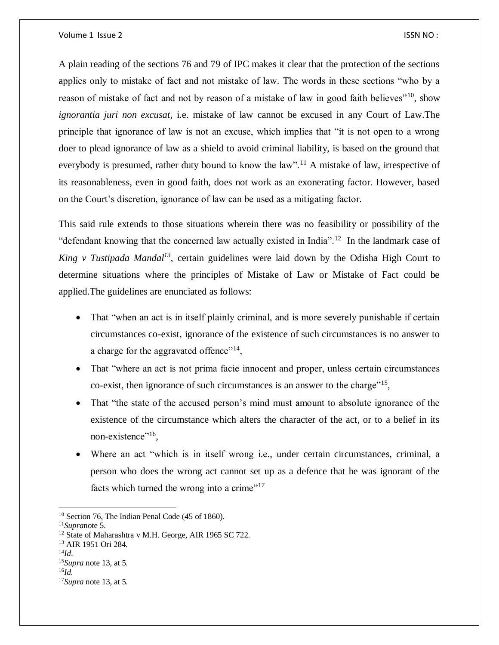A plain reading of the sections 76 and 79 of IPC makes it clear that the protection of the sections applies only to mistake of fact and not mistake of law. The words in these sections "who by a reason of mistake of fact and not by reason of a mistake of law in good faith believes"<sup>10</sup>, show *ignorantia juri non excusat*, i.e. mistake of law cannot be excused in any Court of Law.The principle that ignorance of law is not an excuse, which implies that "it is not open to a wrong doer to plead ignorance of law as a shield to avoid criminal liability, is based on the ground that everybody is presumed, rather duty bound to know the law".<sup>11</sup> A mistake of law, irrespective of its reasonableness, even in good faith, does not work as an exonerating factor. However, based on the Court's discretion, ignorance of law can be used as a mitigating factor.

This said rule extends to those situations wherein there was no feasibility or possibility of the "defendant knowing that the concerned law actually existed in India".<sup>12</sup> In the landmark case of *King v Tustipada Mandal<sup>13</sup>*, certain guidelines were laid down by the Odisha High Court to determine situations where the principles of Mistake of Law or Mistake of Fact could be applied.The guidelines are enunciated as follows:

- That "when an act is in itself plainly criminal, and is more severely punishable if certain circumstances co-exist, ignorance of the existence of such circumstances is no answer to a charge for the aggravated offence"<sup>14</sup>,
- That "where an act is not prima facie innocent and proper, unless certain circumstances co-exist, then ignorance of such circumstances is an answer to the charge<sup> $15$ </sup>,
- That "the state of the accused person's mind must amount to absolute ignorance of the existence of the circumstance which alters the character of the act, or to a belief in its non-existence"<sup>16</sup>,
- Where an act "which is in itself wrong i.e., under certain circumstances, criminal, a person who does the wrong act cannot set up as a defence that he was ignorant of the facts which turned the wrong into a crime"<sup>17</sup>

<sup>13</sup> AIR 1951 Ori 284.

- <sup>15</sup>*Supra* note 13, at 5.
- <sup>16</sup>*Id.*

<sup>&</sup>lt;sup>10</sup> Section 76, The Indian Penal Code (45 of 1860).

<sup>11</sup>*Supra*note 5.

<sup>&</sup>lt;sup>12</sup> State of Maharashtra v M.H. George, AIR 1965 SC 722.

 $^{14}Id.$ 

<sup>17</sup>*Supra* note 13, at 5.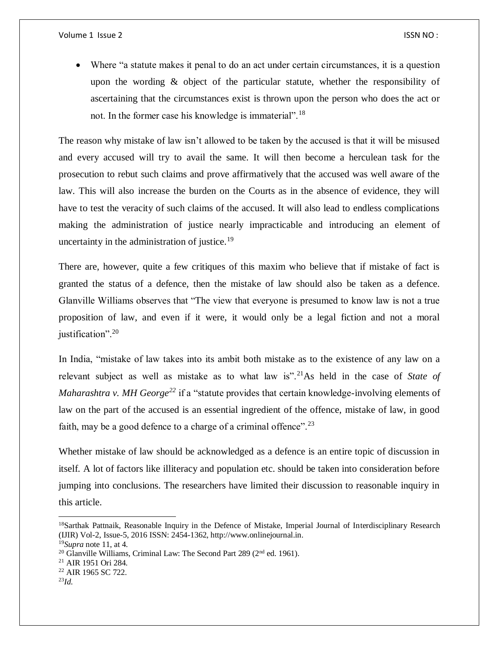Where "a statute makes it penal to do an act under certain circumstances, it is a question upon the wording  $\&$  object of the particular statute, whether the responsibility of ascertaining that the circumstances exist is thrown upon the person who does the act or not. In the former case his knowledge is immaterial".<sup>18</sup>

The reason why mistake of law isn't allowed to be taken by the accused is that it will be misused and every accused will try to avail the same. It will then become a herculean task for the prosecution to rebut such claims and prove affirmatively that the accused was well aware of the law. This will also increase the burden on the Courts as in the absence of evidence, they will have to test the veracity of such claims of the accused. It will also lead to endless complications making the administration of justice nearly impracticable and introducing an element of uncertainty in the administration of justice.<sup>19</sup>

There are, however, quite a few critiques of this maxim who believe that if mistake of fact is granted the status of a defence, then the mistake of law should also be taken as a defence. Glanville Williams observes that "The view that everyone is presumed to know law is not a true proposition of law, and even if it were, it would only be a legal fiction and not a moral justification".<sup>20</sup>

In India, "mistake of law takes into its ambit both mistake as to the existence of any law on a relevant subject as well as mistake as to what law is".<sup>21</sup>As held in the case of *State of Maharashtra v. MH George*<sup>22</sup> if a "statute provides that certain knowledge-involving elements of law on the part of the accused is an essential ingredient of the offence, mistake of law, in good faith, may be a good defence to a charge of a criminal offence".<sup>23</sup>

Whether mistake of law should be acknowledged as a defence is an entire topic of discussion in itself. A lot of factors like illiteracy and population etc. should be taken into consideration before jumping into conclusions. The researchers have limited their discussion to reasonable inquiry in this article.

 $\overline{\phantom{a}}$ 

<sup>&</sup>lt;sup>18</sup>Sarthak Pattnaik, Reasonable Inquiry in the Defence of Mistake, Imperial Journal of Interdisciplinary Research (IJIR) Vol-2, Issue-5, 2016 ISSN: 2454-1362, http://www.onlinejournal.in.

<sup>19</sup>*Supra* note 11, at 4.

<sup>&</sup>lt;sup>20</sup> Glanville Williams, Criminal Law: The Second Part 289 ( $2<sup>nd</sup>$  ed. 1961).

<sup>21</sup> AIR 1951 Ori 284.

<sup>22</sup> AIR 1965 SC 722.

<sup>23</sup>*Id.*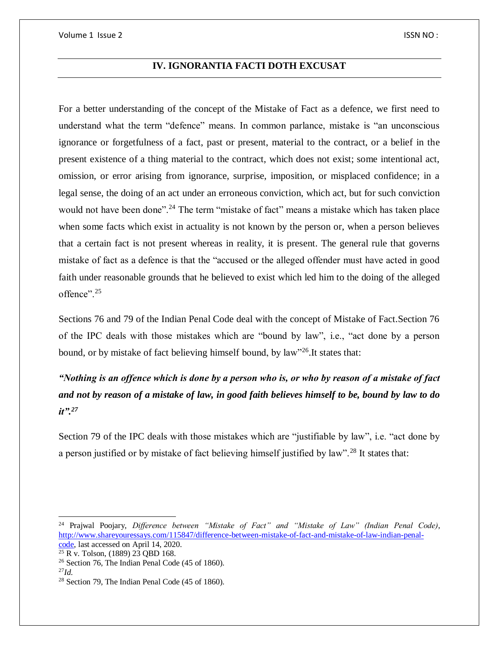## **IV. IGNORANTIA FACTI DOTH EXCUSAT**

<span id="page-6-0"></span>For a better understanding of the concept of the Mistake of Fact as a defence, we first need to understand what the term "defence" means. In common parlance, mistake is "an unconscious ignorance or forgetfulness of a fact, past or present, material to the contract, or a belief in the present existence of a thing material to the contract, which does not exist; some intentional act, omission, or error arising from ignorance, surprise, imposition, or misplaced confidence; in a legal sense, the doing of an act under an erroneous conviction, which act, but for such conviction would not have been done".<sup>24</sup> The term "mistake of fact" means a mistake which has taken place when some facts which exist in actuality is not known by the person or, when a person believes that a certain fact is not present whereas in reality, it is present. The general rule that governs mistake of fact as a defence is that the "accused or the alleged offender must have acted in good faith under reasonable grounds that he believed to exist which led him to the doing of the alleged offence".<sup>25</sup>

Sections 76 and 79 of the Indian Penal Code deal with the concept of Mistake of Fact.Section 76 of the IPC deals with those mistakes which are "bound by law", i.e., "act done by a person bound, or by mistake of fact believing himself bound, by law"<sup>26</sup>. It states that:

*"Nothing is an offence which is done by a person who is, or who by reason of a mistake of fact and not by reason of a mistake of law, in good faith believes himself to be, bound by law to do it".<sup>27</sup>*

Section 79 of the IPC deals with those mistakes which are "justifiable by law", i.e. "act done by a person justified or by mistake of fact believing himself justified by law".<sup>28</sup> It states that:

 $\overline{\phantom{a}}$ 

<sup>24</sup> Prajwal Poojary, *Difference between "Mistake of Fact" and "Mistake of Law" (Indian Penal Code)*, [http://www.shareyouressays.com/115847/difference-between-mistake-of-fact-and-mistake-of-law-indian-penal](http://www.shareyouressays.com/115847/difference-between-mistake-of-fact-and-mistake-of-law-indian-penal-code)[code,](http://www.shareyouressays.com/115847/difference-between-mistake-of-fact-and-mistake-of-law-indian-penal-code) last accessed on April 14, 2020.

<sup>25</sup> R v. Tolson, (1889) 23 QBD 168.

<sup>26</sup> Section 76, The Indian Penal Code (45 of 1860).

<sup>27</sup>*Id.*

<sup>28</sup> Section 79, The Indian Penal Code (45 of 1860).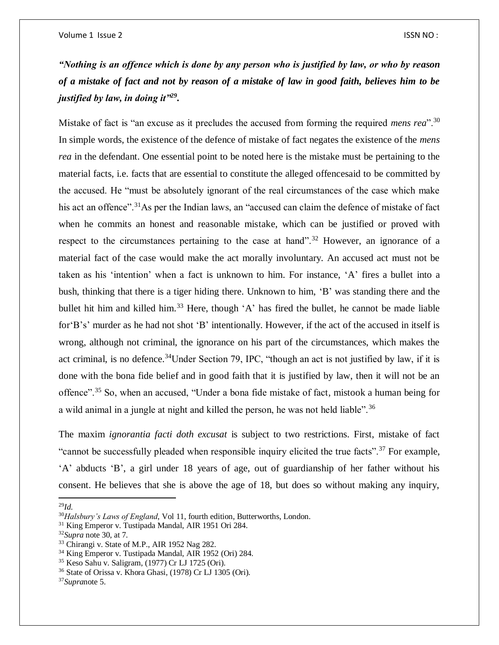*"Nothing is an offence which is done by any person who is justified by law, or who by reason of a mistake of fact and not by reason of a mistake of law in good faith, believes him to be justified by law, in doing it"<sup>29</sup> .*

Mistake of fact is "an excuse as it precludes the accused from forming the required *mens rea*".<sup>30</sup> In simple words, the existence of the defence of mistake of fact negates the existence of the *mens rea* in the defendant. One essential point to be noted here is the mistake must be pertaining to the material facts, i.e. facts that are essential to constitute the alleged offencesaid to be committed by the accused. He "must be absolutely ignorant of the real circumstances of the case which make his act an offence".<sup>31</sup>As per the Indian laws, an "accused can claim the defence of mistake of fact when he commits an honest and reasonable mistake, which can be justified or proved with respect to the circumstances pertaining to the case at hand".<sup>32</sup> However, an ignorance of a material fact of the case would make the act morally involuntary. An accused act must not be taken as his 'intention' when a fact is unknown to him. For instance, 'A' fires a bullet into a bush, thinking that there is a tiger hiding there. Unknown to him, 'B' was standing there and the bullet hit him and killed him.<sup>33</sup> Here, though 'A' has fired the bullet, he cannot be made liable for'B's' murder as he had not shot 'B' intentionally. However, if the act of the accused in itself is wrong, although not criminal, the ignorance on his part of the circumstances, which makes the act criminal, is no defence.<sup>34</sup>Under Section 79, IPC, "though an act is not justified by law, if it is done with the bona fide belief and in good faith that it is justified by law, then it will not be an offence".<sup>35</sup> So, when an accused, "Under a bona fide mistake of fact, mistook a human being for a wild animal in a jungle at night and killed the person, he was not held liable".<sup>36</sup>

The maxim *ignorantia facti doth excusat* is subject to two restrictions. First, mistake of fact "cannot be successfully pleaded when responsible inquiry elicited the true facts".<sup>37</sup> For example, 'A' abducts 'B', a girl under 18 years of age, out of guardianship of her father without his consent. He believes that she is above the age of 18, but does so without making any inquiry,

<sup>29</sup>*Id.*

<sup>30</sup>*Halsbury's Laws of England*, Vol 11, fourth edition, Butterworths, London.

<sup>31</sup> King Emperor v. Tustipada Mandal, AIR 1951 Ori 284.

<sup>32</sup>*Supra* note 30, at 7.

<sup>33</sup> Chirangi v. State of M.P., AIR 1952 Nag 282.

<sup>34</sup> King Emperor v. Tustipada Mandal, AIR 1952 (Ori) 284.

<sup>35</sup> Keso Sahu v. Saligram, (1977) Cr LJ 1725 (Ori).

<sup>36</sup> State of Orissa v. Khora Ghasi, (1978) Cr LJ 1305 (Ori).

<sup>37</sup>*Supra*note 5.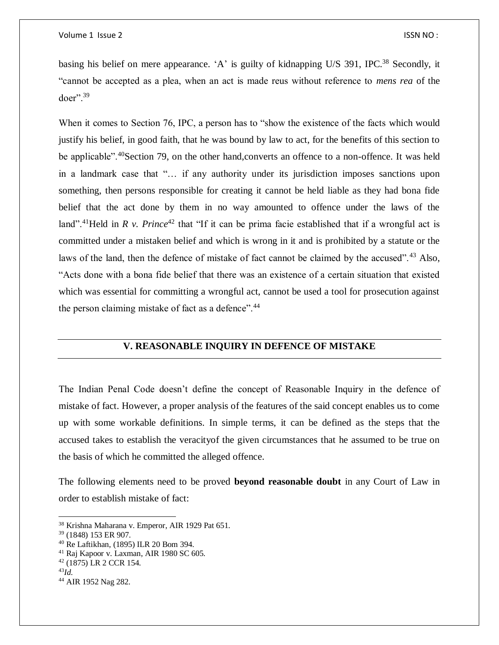basing his belief on mere appearance. 'A' is guilty of kidnapping U/S 391, IPC.<sup>38</sup> Secondly, it "cannot be accepted as a plea, when an act is made reus without reference to *mens rea* of the doer".<sup>39</sup>

When it comes to Section 76, IPC, a person has to "show the existence of the facts which would justify his belief, in good faith, that he was bound by law to act, for the benefits of this section to be applicable".<sup>40</sup>Section 79, on the other hand,converts an offence to a non-offence. It was held in a landmark case that "… if any authority under its jurisdiction imposes sanctions upon something, then persons responsible for creating it cannot be held liable as they had bona fide belief that the act done by them in no way amounted to offence under the laws of the land".<sup>41</sup>Held in *R v. Prince*<sup>42</sup> that "If it can be prima facie established that if a wrongful act is committed under a mistaken belief and which is wrong in it and is prohibited by a statute or the laws of the land, then the defence of mistake of fact cannot be claimed by the accused".<sup>43</sup> Also, "Acts done with a bona fide belief that there was an existence of a certain situation that existed which was essential for committing a wrongful act, cannot be used a tool for prosecution against the person claiming mistake of fact as a defence".<sup>44</sup>

## **V. REASONABLE INQUIRY IN DEFENCE OF MISTAKE**

<span id="page-8-0"></span>The Indian Penal Code doesn't define the concept of Reasonable Inquiry in the defence of mistake of fact. However, a proper analysis of the features of the said concept enables us to come up with some workable definitions. In simple terms, it can be defined as the steps that the accused takes to establish the veracityof the given circumstances that he assumed to be true on the basis of which he committed the alleged offence.

The following elements need to be proved **beyond reasonable doubt** in any Court of Law in order to establish mistake of fact:

 $\overline{\phantom{a}}$ 

<sup>38</sup> Krishna Maharana v. Emperor, AIR 1929 Pat 651.

<sup>39</sup> (1848) 153 ER 907.

<sup>40</sup> Re Laftikhan, (1895) ILR 20 Bom 394.

<sup>41</sup> Raj Kapoor v. Laxman, AIR 1980 SC 605.

<sup>42</sup> (1875) LR 2 CCR 154.

<sup>43</sup>*Id.*

<sup>44</sup> AIR 1952 Nag 282.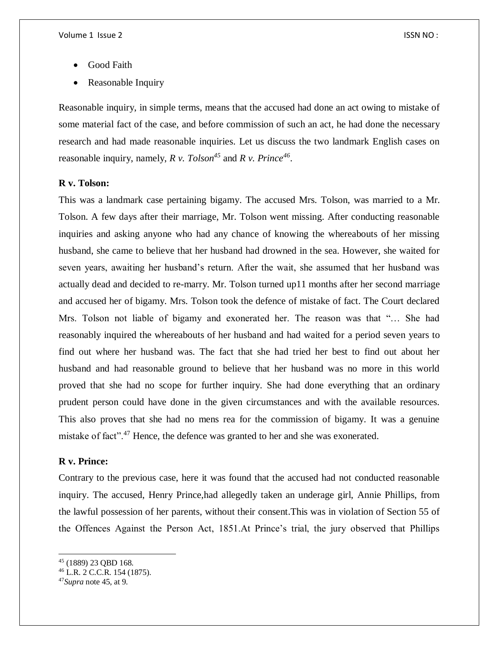- Good Faith
- Reasonable Inquiry

Reasonable inquiry, in simple terms, means that the accused had done an act owing to mistake of some material fact of the case, and before commission of such an act, he had done the necessary research and had made reasonable inquiries. Let us discuss the two landmark English cases on reasonable inquiry, namely, *R v. Tolson<sup>45</sup>* and *R v. Prince<sup>46</sup>* .

## <span id="page-9-0"></span>**R v. Tolson:**

This was a landmark case pertaining bigamy. The accused Mrs. Tolson, was married to a Mr. Tolson. A few days after their marriage, Mr. Tolson went missing. After conducting reasonable inquiries and asking anyone who had any chance of knowing the whereabouts of her missing husband, she came to believe that her husband had drowned in the sea. However, she waited for seven years, awaiting her husband's return. After the wait, she assumed that her husband was actually dead and decided to re-marry. Mr. Tolson turned up11 months after her second marriage and accused her of bigamy. Mrs. Tolson took the defence of mistake of fact. The Court declared Mrs. Tolson not liable of bigamy and exonerated her. The reason was that "… She had reasonably inquired the whereabouts of her husband and had waited for a period seven years to find out where her husband was. The fact that she had tried her best to find out about her husband and had reasonable ground to believe that her husband was no more in this world proved that she had no scope for further inquiry. She had done everything that an ordinary prudent person could have done in the given circumstances and with the available resources. This also proves that she had no mens rea for the commission of bigamy. It was a genuine mistake of fact".<sup>47</sup> Hence, the defence was granted to her and she was exonerated.

## <span id="page-9-1"></span>**R v. Prince:**

Contrary to the previous case, here it was found that the accused had not conducted reasonable inquiry. The accused, Henry Prince,had allegedly taken an underage girl, Annie Phillips, from the lawful possession of her parents, without their consent.This was in violation of Section 55 of the Offences Against the Person Act, 1851.At Prince's trial, the jury observed that Phillips

<sup>45</sup> (1889) 23 QBD 168.

<sup>46</sup> L.R. 2 C.C.R. 154 (1875).

<sup>47</sup>*Supra* note 45, at 9.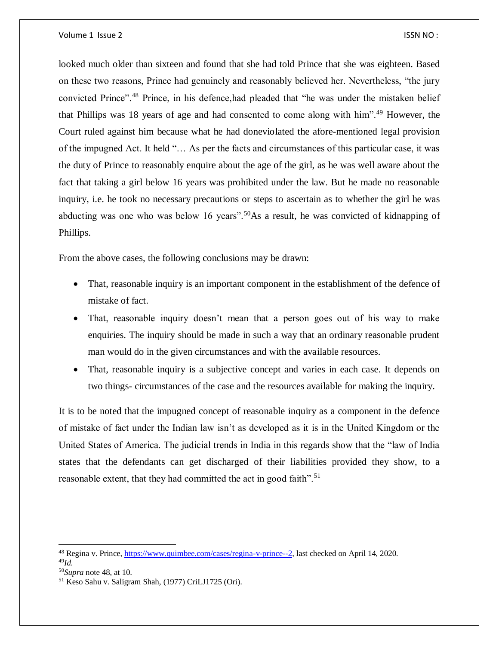looked much older than sixteen and found that she had told Prince that she was eighteen. Based on these two reasons, Prince had genuinely and reasonably believed her. Nevertheless, "the jury convicted Prince".<sup>48</sup> Prince, in his defence,had pleaded that "he was under the mistaken belief that Phillips was 18 years of age and had consented to come along with him".<sup>49</sup> However, the Court ruled against him because what he had doneviolated the afore-mentioned legal provision of the impugned Act. It held "… As per the facts and circumstances of this particular case, it was the duty of Prince to reasonably enquire about the age of the girl, as he was well aware about the fact that taking a girl below 16 years was prohibited under the law. But he made no reasonable inquiry, i.e. he took no necessary precautions or steps to ascertain as to whether the girl he was abducting was one who was below 16 years".<sup>50</sup>As a result, he was convicted of kidnapping of Phillips.

From the above cases, the following conclusions may be drawn:

- That, reasonable inquiry is an important component in the establishment of the defence of mistake of fact.
- That, reasonable inquiry doesn't mean that a person goes out of his way to make enquiries. The inquiry should be made in such a way that an ordinary reasonable prudent man would do in the given circumstances and with the available resources.
- That, reasonable inquiry is a subjective concept and varies in each case. It depends on two things- circumstances of the case and the resources available for making the inquiry.

It is to be noted that the impugned concept of reasonable inquiry as a component in the defence of mistake of fact under the Indian law isn't as developed as it is in the United Kingdom or the United States of America. The judicial trends in India in this regards show that the "law of India states that the defendants can get discharged of their liabilities provided they show, to a reasonable extent, that they had committed the act in good faith".<sup>51</sup>

<sup>&</sup>lt;sup>48</sup> Regina v. Prince[, https://www.quimbee.com/cases/regina-v-prince--2,](https://www.quimbee.com/cases/regina-v-prince--2) last checked on April 14, 2020. <sup>49</sup>*Id.*

<sup>50</sup>*Supra* note 48, at 10.

<sup>51</sup> Keso Sahu v. Saligram Shah, (1977) CriLJ1725 (Ori).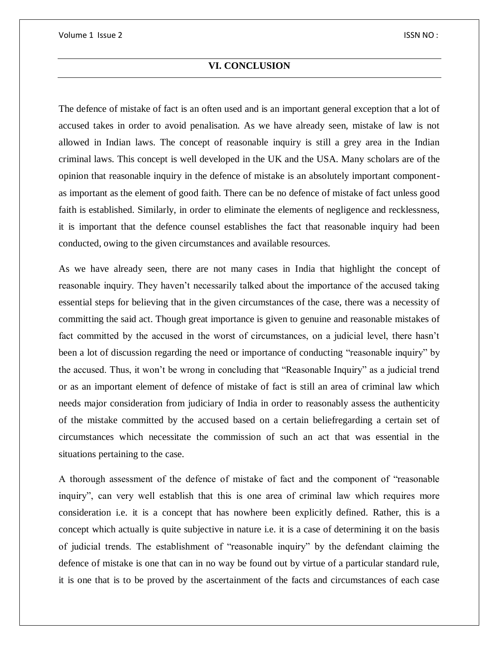# **VI. CONCLUSION**

<span id="page-11-0"></span>The defence of mistake of fact is an often used and is an important general exception that a lot of accused takes in order to avoid penalisation. As we have already seen, mistake of law is not allowed in Indian laws. The concept of reasonable inquiry is still a grey area in the Indian criminal laws. This concept is well developed in the UK and the USA. Many scholars are of the opinion that reasonable inquiry in the defence of mistake is an absolutely important componentas important as the element of good faith. There can be no defence of mistake of fact unless good faith is established. Similarly, in order to eliminate the elements of negligence and recklessness, it is important that the defence counsel establishes the fact that reasonable inquiry had been conducted, owing to the given circumstances and available resources.

As we have already seen, there are not many cases in India that highlight the concept of reasonable inquiry. They haven't necessarily talked about the importance of the accused taking essential steps for believing that in the given circumstances of the case, there was a necessity of committing the said act. Though great importance is given to genuine and reasonable mistakes of fact committed by the accused in the worst of circumstances, on a judicial level, there hasn't been a lot of discussion regarding the need or importance of conducting "reasonable inquiry" by the accused. Thus, it won't be wrong in concluding that "Reasonable Inquiry" as a judicial trend or as an important element of defence of mistake of fact is still an area of criminal law which needs major consideration from judiciary of India in order to reasonably assess the authenticity of the mistake committed by the accused based on a certain beliefregarding a certain set of circumstances which necessitate the commission of such an act that was essential in the situations pertaining to the case.

A thorough assessment of the defence of mistake of fact and the component of "reasonable inquiry", can very well establish that this is one area of criminal law which requires more consideration i.e. it is a concept that has nowhere been explicitly defined. Rather, this is a concept which actually is quite subjective in nature i.e. it is a case of determining it on the basis of judicial trends. The establishment of "reasonable inquiry" by the defendant claiming the defence of mistake is one that can in no way be found out by virtue of a particular standard rule, it is one that is to be proved by the ascertainment of the facts and circumstances of each case